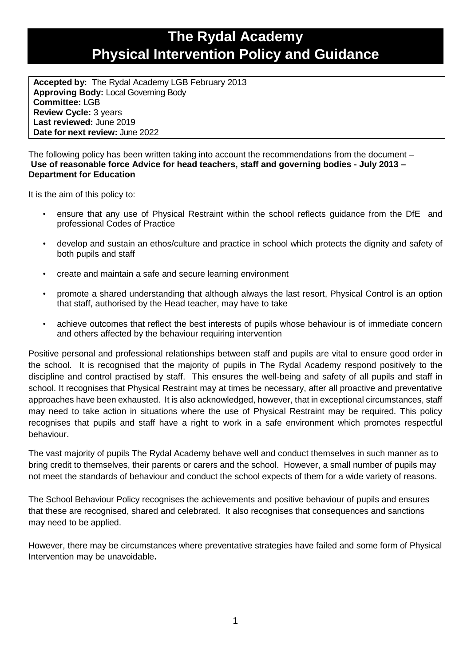# **The Rydal Academy Physical Intervention Policy and Guidance**

**Accepted by:** The Rydal Academy LGB February 2013 **Approving Body:** Local Governing Body **Committee:** LGB **Review Cycle:** 3 years **Last reviewed:** June 2019 **Date for next review:** June 2022

The following policy has been written taking into account the recommendations from the document – **Use of reasonable force Advice for head teachers, staff and governing bodies - July 2013 – Department for Education**

It is the aim of this policy to:

- ensure that any use of Physical Restraint within the school reflects guidance from the DfE and professional Codes of Practice
- develop and sustain an ethos/culture and practice in school which protects the dignity and safety of both pupils and staff
- create and maintain a safe and secure learning environment
- promote a shared understanding that although always the last resort, Physical Control is an option that staff, authorised by the Head teacher, may have to take
- achieve outcomes that reflect the best interests of pupils whose behaviour is of immediate concern and others affected by the behaviour requiring intervention

Positive personal and professional relationships between staff and pupils are vital to ensure good order in the school. It is recognised that the majority of pupils in The Rydal Academy respond positively to the discipline and control practised by staff. This ensures the well-being and safety of all pupils and staff in school. It recognises that Physical Restraint may at times be necessary, after all proactive and preventative approaches have been exhausted. It is also acknowledged, however, that in exceptional circumstances, staff may need to take action in situations where the use of Physical Restraint may be required. This policy recognises that pupils and staff have a right to work in a safe environment which promotes respectful behaviour.

The vast majority of pupils The Rydal Academy behave well and conduct themselves in such manner as to bring credit to themselves, their parents or carers and the school. However, a small number of pupils may not meet the standards of behaviour and conduct the school expects of them for a wide variety of reasons.

The School Behaviour Policy recognises the achievements and positive behaviour of pupils and ensures that these are recognised, shared and celebrated. It also recognises that consequences and sanctions may need to be applied.

However, there may be circumstances where preventative strategies have failed and some form of Physical Intervention may be unavoidable**.**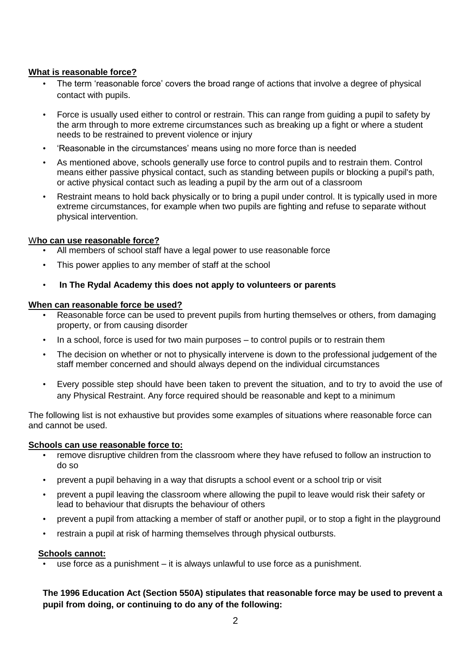# **What is reasonable force?**

- The term 'reasonable force' covers the broad range of actions that involve a degree of physical contact with pupils.
- Force is usually used either to control or restrain. This can range from guiding a pupil to safety by the arm through to more extreme circumstances such as breaking up a fight or where a student needs to be restrained to prevent violence or injury
- 'Reasonable in the circumstances' means using no more force than is needed
- As mentioned above, schools generally use force to control pupils and to restrain them. Control means either passive physical contact, such as standing between pupils or blocking a pupil's path, or active physical contact such as leading a pupil by the arm out of a classroom
- Restraint means to hold back physically or to bring a pupil under control. It is typically used in more extreme circumstances, for example when two pupils are fighting and refuse to separate without physical intervention.

#### W**ho can use reasonable force?**

- All members of school staff have a legal power to use reasonable force
- This power applies to any member of staff at the school
- **In The Rydal Academy this does not apply to volunteers or parents**

#### **When can reasonable force be used?**

- Reasonable force can be used to prevent pupils from hurting themselves or others, from damaging property, or from causing disorder
- In a school, force is used for two main purposes to control pupils or to restrain them
- The decision on whether or not to physically intervene is down to the professional judgement of the staff member concerned and should always depend on the individual circumstances
- Every possible step should have been taken to prevent the situation, and to try to avoid the use of any Physical Restraint. Any force required should be reasonable and kept to a minimum

The following list is not exhaustive but provides some examples of situations where reasonable force can and cannot be used.

#### **Schools can use reasonable force to:**

- remove disruptive children from the classroom where they have refused to follow an instruction to do so
- prevent a pupil behaving in a way that disrupts a school event or a school trip or visit
- prevent a pupil leaving the classroom where allowing the pupil to leave would risk their safety or lead to behaviour that disrupts the behaviour of others
- prevent a pupil from attacking a member of staff or another pupil, or to stop a fight in the playground
- restrain a pupil at risk of harming themselves through physical outbursts.

#### **Schools cannot:**

use force as a punishment – it is always unlawful to use force as a punishment.

# **The 1996 Education Act (Section 550A) stipulates that reasonable force may be used to prevent a pupil from doing, or continuing to do any of the following:**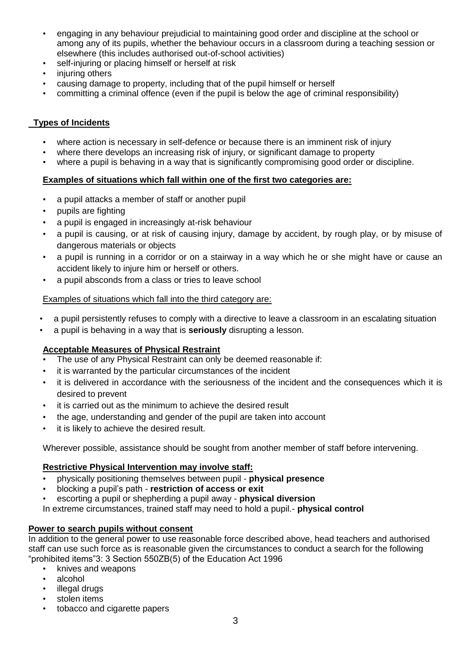- engaging in any behaviour prejudicial to maintaining good order and discipline at the school or among any of its pupils, whether the behaviour occurs in a classroom during a teaching session or elsewhere (this includes authorised out-of-school activities)
- self-injuring or placing himself or herself at risk
- injuring others
- causing damage to property, including that of the pupil himself or herself
- committing a criminal offence (even if the pupil is below the age of criminal responsibility)

# **Types of Incidents**

- where action is necessary in self-defence or because there is an imminent risk of injury
- where there develops an increasing risk of injury, or significant damage to property
- where a pupil is behaving in a way that is significantly compromising good order or discipline.

### **Examples of situations which fall within one of the first two categories are:**

- a pupil attacks a member of staff or another pupil
- pupils are fighting
- a pupil is engaged in increasingly at-risk behaviour
- a pupil is causing, or at risk of causing injury, damage by accident, by rough play, or by misuse of dangerous materials or objects
- a pupil is running in a corridor or on a stairway in a way which he or she might have or cause an accident likely to injure him or herself or others.
- a pupil absconds from a class or tries to leave school

### Examples of situations which fall into the third category are:

- a pupil persistently refuses to comply with a directive to leave a classroom in an escalating situation
- a pupil is behaving in a way that is **seriously** disrupting a lesson.

# **Acceptable Measures of Physical Restraint**

- The use of any Physical Restraint can only be deemed reasonable if:
- it is warranted by the particular circumstances of the incident
- it is delivered in accordance with the seriousness of the incident and the consequences which it is desired to prevent
- it is carried out as the minimum to achieve the desired result
- the age, understanding and gender of the pupil are taken into account
- it is likely to achieve the desired result.

Wherever possible, assistance should be sought from another member of staff before intervening.

# **Restrictive Physical Intervention may involve staff:**

- physically positioning themselves between pupil **physical presence**
- blocking a pupil's path **restriction of access or exit**
- escorting a pupil or shepherding a pupil away **physical diversion**

In extreme circumstances, trained staff may need to hold a pupil.- **physical control**

# **Power to search pupils without consent**

In addition to the general power to use reasonable force described above, head teachers and authorised staff can use such force as is reasonable given the circumstances to conduct a search for the following "prohibited items"3: 3 Section 550ZB(5) of the Education Act 1996

- knives and weapons
- alcohol
- illegal drugs
- stolen items
- tobacco and cigarette papers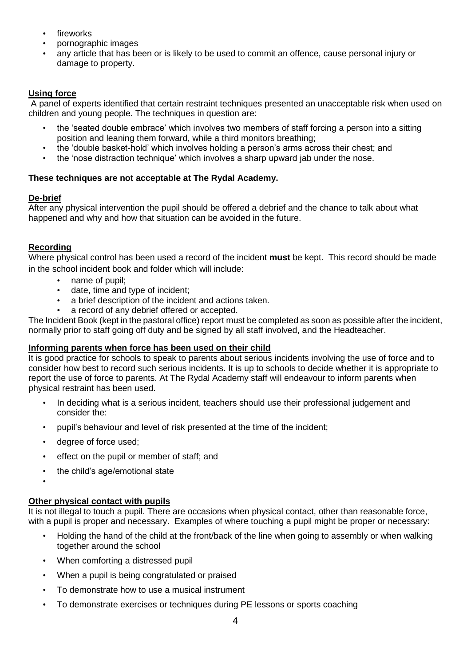- **fireworks**
- pornographic images
- any article that has been or is likely to be used to commit an offence, cause personal injury or damage to property.

# **Using force**

A panel of experts identified that certain restraint techniques presented an unacceptable risk when used on children and young people. The techniques in question are:

- the 'seated double embrace' which involves two members of staff forcing a person into a sitting position and leaning them forward, while a third monitors breathing;
- the 'double basket-hold' which involves holding a person's arms across their chest; and
- the 'nose distraction technique' which involves a sharp upward jab under the nose.

# **These techniques are not acceptable at The Rydal Academy.**

# **De-brief**

After any physical intervention the pupil should be offered a debrief and the chance to talk about what happened and why and how that situation can be avoided in the future.

# **Recording**

Where physical control has been used a record of the incident **must** be kept. This record should be made in the school incident book and folder which will include:

- name of pupil;
- date, time and type of incident;
- a brief description of the incident and actions taken.
- a record of any debrief offered or accepted.

The Incident Book (kept in the pastoral office) report must be completed as soon as possible after the incident, normally prior to staff going off duty and be signed by all staff involved, and the Headteacher.

# **Informing parents when force has been used on their child**

It is good practice for schools to speak to parents about serious incidents involving the use of force and to consider how best to record such serious incidents. It is up to schools to decide whether it is appropriate to report the use of force to parents. At The Rydal Academy staff will endeavour to inform parents when physical restraint has been used.

- In deciding what is a serious incident, teachers should use their professional judgement and consider the:
- pupil's behaviour and level of risk presented at the time of the incident;
- degree of force used;
- effect on the pupil or member of staff; and
- the child's age/emotional state
- •

# **Other physical contact with pupils**

It is not illegal to touch a pupil. There are occasions when physical contact, other than reasonable force, with a pupil is proper and necessary. Examples of where touching a pupil might be proper or necessary:

- Holding the hand of the child at the front/back of the line when going to assembly or when walking together around the school
- When comforting a distressed pupil
- When a pupil is being congratulated or praised
- To demonstrate how to use a musical instrument
- To demonstrate exercises or techniques during PE lessons or sports coaching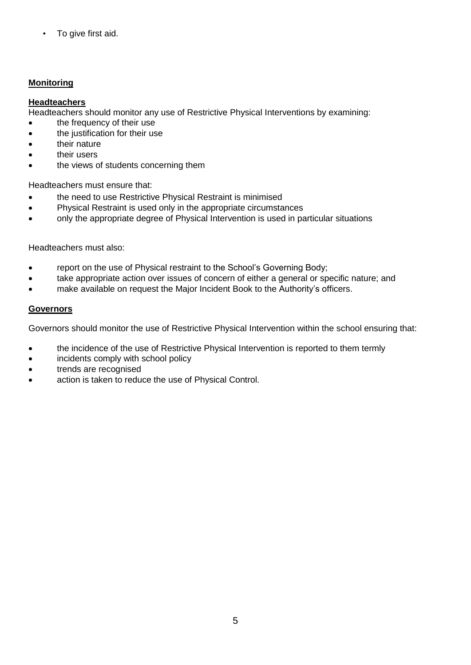• To give first aid.

# **Monitoring**

### **Headteachers**

Headteachers should monitor any use of Restrictive Physical Interventions by examining:

- the frequency of their use
- the justification for their use
- their nature
- their users
- the views of students concerning them

Headteachers must ensure that:

- the need to use Restrictive Physical Restraint is minimised
- Physical Restraint is used only in the appropriate circumstances
- only the appropriate degree of Physical Intervention is used in particular situations

#### Headteachers must also:

- report on the use of Physical restraint to the School's Governing Body;
- take appropriate action over issues of concern of either a general or specific nature; and
- make available on request the Major Incident Book to the Authority's officers.

### **Governors**

Governors should monitor the use of Restrictive Physical Intervention within the school ensuring that:

- the incidence of the use of Restrictive Physical Intervention is reported to them termly
- incidents comply with school policy
- trends are recognised
- action is taken to reduce the use of Physical Control.